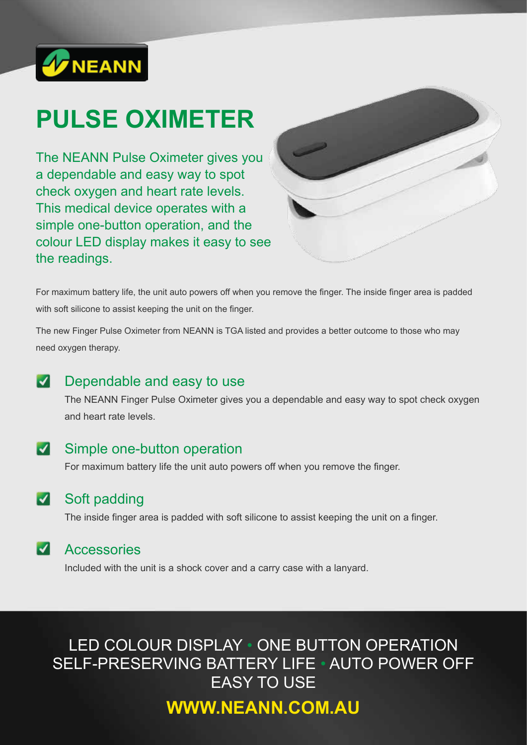

# **PULSE OXIMETER**

The NEANN Pulse Oximeter gives you a dependable and easy way to spot check oxygen and heart rate levels. This medical device operates with a simple one-button operation, and the colour LED display makes it easy to see the readings.



For maximum battery life, the unit auto powers off when you remove the finger. The inside finger area is padded with soft silicone to assist keeping the unit on the finger.

The new Finger Pulse Oximeter from NEANN is TGA listed and provides a better outcome to those who may need oxygen therapy.

### $\vert \checkmark \vert$ Dependable and easy to use

The NEANN Finger Pulse Oximeter gives you a dependable and easy way to spot check oxygen and heart rate levels.

## Simple one-button operation

For maximum battery life the unit auto powers off when you remove the finger.

### Soft padding  $|\blacktriangledown|$

The inside finger area is padded with soft silicone to assist keeping the unit on a finger.

#### $|\boldsymbol{\mathcal{J}}|$ **Accessories**

Included with the unit is a shock cover and a carry case with a lanyard.

LED COLOUR DISPLAY • ONE BUTTON OPERATION SELF-PRESERVING BATTERY LIFE • AUTO POWER OFF EASY TO USE

## **WWW.NEANN.COM.AU**